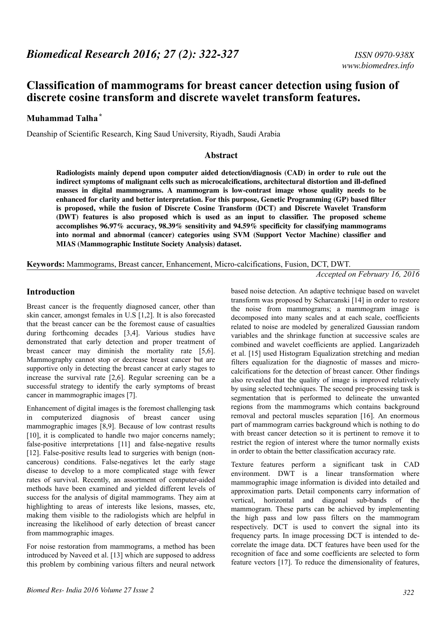# **Classification of mammograms for breast cancer detection using fusion of discrete cosine transform and discrete wavelet transform features.**

## **Muhammad Talha\***

Deanship of Scientific Research, King Saud University, Riyadh, Saudi Arabia

#### **Abstract**

**Radiologists mainly depend upon computer aided detection/diagnosis (CAD) in order to rule out the indirect symptoms of malignant cells such as microcalcifications, architectural distortion and ill-defined masses in digital mammograms. A mammogram is low-contrast image whose quality needs to be enhanced for clarity and better interpretation. For this purpose, Genetic Programming (GP) based filter is proposed, while the fusion of Discrete Cosine Transform (DCT) and Discrete Wavelet Transform (DWT) features is also proposed which is used as an input to classifier. The proposed scheme accomplishes 96.97% accuracy, 98.39% sensitivity and 94.59% specificity for classifying mammograms into normal and abnormal (cancer) categories using SVM (Support Vector Machine) classifier and MIAS (Mammographic Institute Society Analysis) dataset.**

**Keywords:** Mammograms, Breast cancer, Enhancement, Micro-calcifications, Fusion, DCT, DWT.

*Accepted on February 16, 2016*

### **Introduction**

Breast cancer is the frequently diagnosed cancer, other than skin cancer, amongst females in U.S [1,2]. It is also forecasted that the breast cancer can be the foremost cause of casualties during forthcoming decades [3,4]. Various studies have demonstrated that early detection and proper treatment of breast cancer may diminish the mortality rate [5,6]. Mammography cannot stop or decrease breast cancer but are supportive only in detecting the breast cancer at early stages to increase the survival rate [2,6]. Regular screening can be a successful strategy to identify the early symptoms of breast cancer in mammographic images [7].

Enhancement of digital images is the foremost challenging task in computerized diagnosis of breast cancer using mammographic images [8,9]. Because of low contrast results [10], it is complicated to handle two major concerns namely; false-positive interpretations [11] and false-negative results [12]. False-positive results lead to surgeries with benign (noncancerous) conditions. False-negatives let the early stage disease to develop to a more complicated stage with fewer rates of survival. Recently, an assortment of computer-aided methods have been examined and yielded different levels of success for the analysis of digital mammograms. They aim at highlighting to areas of interests like lesions, masses, etc, making them visible to the radiologists which are helpful in increasing the likelihood of early detection of breast cancer from mammographic images.

For noise restoration from mammograms, a method has been introduced by Naveed et al. [13] which are supposed to address this problem by combining various filters and neural network

based noise detection. An adaptive technique based on wavelet transform was proposed by Scharcanski [14] in order to restore the noise from mammograms; a mammogram image is decomposed into many scales and at each scale, coefficients related to noise are modeled by generalized Gaussian random variables and the shrinkage function at successive scales are combined and wavelet coefficients are applied. Langarizadeh et al. [15] used Histogram Equalization stretching and median filters equalization for the diagnostic of masses and microcalcifications for the detection of breast cancer. Other findings also revealed that the quality of image is improved relatively by using selected techniques. The second pre-processing task is segmentation that is performed to delineate the unwanted regions from the mammograms which contains background removal and pectoral muscles separation [16]. An enormous part of mammogram carries background which is nothing to do with breast cancer detection so it is pertinent to remove it to restrict the region of interest where the tumor normally exists in order to obtain the better classification accuracy rate.

Texture features perform a significant task in CAD environment. DWT is a linear transformation where mammographic image information is divided into detailed and approximation parts. Detail components carry information of vertical, horizontal and diagonal sub-bands of the mammogram. These parts can be achieved by implementing the high pass and low pass filters on the mammogram respectively. DCT is used to convert the signal into its frequency parts. In image processing DCT is intended to decorrelate the image data. DCT features have been used for the recognition of face and some coefficients are selected to form feature vectors [17]. To reduce the dimensionality of features,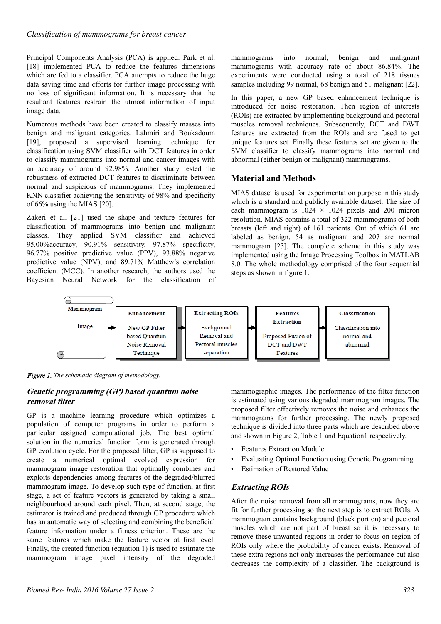Principal Components Analysis (PCA) is applied. Park et al. [18] implemented PCA to reduce the features dimensions which are fed to a classifier. PCA attempts to reduce the huge data saving time and efforts for further image processing with no loss of significant information. It is necessary that the resultant features restrain the utmost information of input image data.

Numerous methods have been created to classify masses into benign and malignant categories. Lahmiri and Boukadoum [19], proposed a supervised learning technique for classification using SVM classifier with DCT features in order to classify mammograms into normal and cancer images with an accuracy of around 92.98%. Another study tested the robustness of extracted DCT features to discriminate between normal and suspicious of mammograms. They implemented KNN classifier achieving the sensitivity of 98% and specificity of 66% using the MIAS [20].

Zakeri et al. [21] used the shape and texture features for classification of mammograms into benign and malignant classes. They applied SVM classifier and achieved 95.00%accuracy, 90.91% sensitivity, 97.87% specificity, 96.77% positive predictive value (PPV), 93.88% negative predictive value (NPV), and 89.71% Matthew's correlation coefficient (MCC). In another research, the authors used the Bayesian Neural Network for the classification of mammograms into normal, benign and malignant mammograms with accuracy rate of about 86.84%. The experiments were conducted using a total of 218 tissues samples including 99 normal, 68 benign and 51 malignant [22].

In this paper, a new GP based enhancement technique is introduced for noise restoration. Then region of interests (ROIs) are extracted by implementing background and pectoral muscles removal techniques. Subsequently, DCT and DWT features are extracted from the ROIs and are fused to get unique features set. Finally these features set are given to the SVM classifier to classify mammograms into normal and abnormal (either benign or malignant) mammograms.

## **Material and Methods**

MIAS dataset is used for experimentation purpose in this study which is a standard and publicly available dataset. The size of each mammogram is  $1024 \times 1024$  pixels and 200 micron resolution. MIAS contains a total of 322 mammograms of both breasts (left and right) of 161 patients. Out of which 61 are labeled as benign, 54 as malignant and 207 are normal mammogram [23]. The complete scheme in this study was implemented using the Image Processing Toolbox in MATLAB 8.0. The whole methodology comprised of the four sequential steps as shown in figure 1.



*Figure 1. The schematic diagram of methodology.*

## **Genetic programming (GP) based quantum noise removal filter**

GP is a machine learning procedure which optimizes a population of computer programs in order to perform a particular assigned computational job. The best optimal solution in the numerical function form is generated through GP evolution cycle. For the proposed filter, GP is supposed to create a numerical optimal evolved expression for mammogram image restoration that optimally combines and exploits dependencies among features of the degraded/blurred mammogram image. To develop such type of function, at first stage, a set of feature vectors is generated by taking a small neighbourhood around each pixel. Then, at second stage, the estimator is trained and produced through GP procedure which has an automatic way of selecting and combining the beneficial feature information under a fitness criterion. These are the same features which make the feature vector at first level. Finally, the created function (equation 1) is used to estimate the mammogram image pixel intensity of the degraded

mammographic images. The performance of the filter function is estimated using various degraded mammogram images. The proposed filter effectively removes the noise and enhances the mammograms for further processing. The newly proposed technique is divided into three parts which are described above and shown in Figure 2, Table 1 and Equation1 respectively.

- Features Extraction Module
- Evaluating Optimal Function using Genetic Programming
- **Estimation of Restored Value**

## **Extracting ROIs**

After the noise removal from all mammograms, now they are fit for further processing so the next step is to extract ROIs. A mammogram contains background (black portion) and pectoral muscles which are not part of breast so it is necessary to remove these unwanted regions in order to focus on region of ROIs only where the probability of cancer exists. Removal of these extra regions not only increases the performance but also decreases the complexity of a classifier. The background is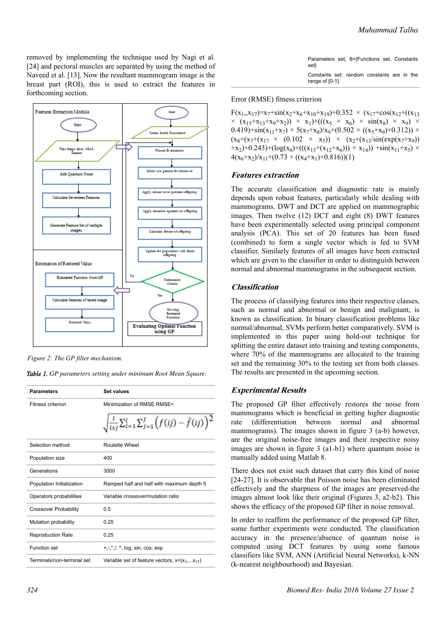removed by implementing the technique used by Nagi et al. [24] and pectoral muscles are separated by using the method of Naveed et al. [13]. Now the resultant mammogram image is the breast part (ROI), this is used to extract the features in forthcoming section.



*Figure 2: The GP filter mechanism.*

|  |  | Table 1. GP parameters setting under minimum Root Mean Square. |  |  |  |  |  |  |
|--|--|----------------------------------------------------------------|--|--|--|--|--|--|
|--|--|----------------------------------------------------------------|--|--|--|--|--|--|

| <b>Parameters</b>            | <b>Set values</b>                                                            |  |
|------------------------------|------------------------------------------------------------------------------|--|
| Fitness criterion            | Minimization of RMSE RMSE=                                                   |  |
|                              | $\sqrt{\frac{l}{l_{xi}}\sum_{i=1}^{l}\sum_{j=1}^{J}(f(ij)-\hat{f}(ij))^{2}}$ |  |
| Selection method             | Roulette Wheel                                                               |  |
| Population size              | 400                                                                          |  |
| Generations                  | 3000                                                                         |  |
| Population Initialization    | Ramped half and half with maximum depth 5                                    |  |
| Operators probabilities      | Variable crossover/mutation ratio                                            |  |
| <b>Crossover Probability</b> | 0.5                                                                          |  |
| Mutation probability         | 0.25                                                                         |  |
| <b>Reproduction Rate</b>     | 0.25                                                                         |  |
| Function set                 | $+, -, *, /, \land$ , log, sin, cos, exp                                     |  |
| Terminals/non-terminal set   | Variable set of feature vectors, $x=(x_1,x_{17})$                            |  |

| Parameters set, $\theta = \{Functions set, Constants\}$<br>set} |  |  |  |
|-----------------------------------------------------------------|--|--|--|
| Constants set: random constants are in the<br>range of [0-1]    |  |  |  |

#### Error (RMSE) fitness criterion

 $F(x_1, x_{17}) = x_7 + sin(x_2 + x_6 + x_{10} + x_{19}) + 0.352 \times (x_{17} + cos(x_{12} + (x_{13}$  $\times$   $(x_{15}+x_{13}+x_{9}+x_{2})$   $\times$   $x_{1})+(((x_{5} \times x_{6}) \times \sin(x_{8}) \times x_{9}) \times$  $0.419$ +sin(x<sub>11</sub>+x<sub>7</sub>) × 5(x<sub>7</sub>+x<sub>8</sub>)/x<sub>9</sub>+(0.502 × ((x<sub>5</sub>+x<sub>9</sub>)+0.312)) ×  $(x_8+(x_7+(x_{17} \times (0.102 \times x_5)) \times (x_2+(x_{13}/\sin(\exp(x_7+x_9)))$ +x<sub>2</sub>)+0.243)+(log(x<sub>6</sub>)+(((x<sub>13</sub>+(x<sub>12</sub>+x<sub>6</sub>))) × x<sub>14</sub>)) +sin(x<sub>11</sub>+x<sub>5</sub>) ×  $4(x_6+x_2)/x_{11}+(0.73 \times ((x_4+x_1)+0.816))(1)$ 

#### **Features extraction**

The accurate classification and diagnostic rate is mainly depends upon robust features, particularly while dealing with mammograms. DWT and DCT are applied on mammographic images. Then twelve (12) DCT and eight (8) DWT features have been experimentally selected using principal component analysis (PCA). This set of 20 features has been fused (combined) to form a single vector which is fed to SVM classifier. Similarly features of all images have been extracted which are given to the classifier in order to distinguish between normal and abnormal mammograms in the subsequent section.

#### **Classification**

The process of classifying features into their respective classes, such as normal and abnormal or benign and malignant, is known as classification. In binary classification problems like normal/abnormal, SVMs perform better comparatively. SVM is implemented in this paper using hold-out technique for splitting the entire dataset into training and testing components, where 70% of the mammograms are allocated to the training set and the remaining 30% to the testing set from both classes. The results are presented in the upcoming section.

#### **Experimental Results**

The proposed GP filter effectively restores the noise from mammograms which is beneficial in getting higher diagnostic rate (differentiation between normal and abnormal mammograms). The images shown in figure 3 (a-b) however, are the original noise-free images and their respective noisy images are shown in figure 3 (a1-b1) where quantum noise is manually added using Matlab 8.

There does not exist such dataset that carry this kind of noise [24-27]. It is observable that Poisson noise has been eliminated effectively and the sharpness of the images are preserved-the images almost look like their original (Figures 3, a2-b2). This shows the efficacy of the proposed GP filter in noise removal.

In order to reaffirm the performance of the proposed GP filter, some further experiments were conducted. The classification accuracy in the presence/absence of quantum noise is computed using DCT features by using some famous classifiers like SVM, ANN (Artificial Neural Networks), k-NN (k-nearest neighbourhood) and Bayesian.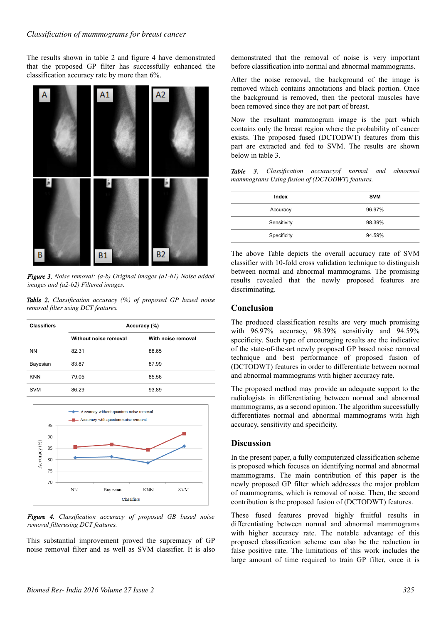#### *Classification of mammograms for breast cancer*

The results shown in table 2 and figure 4 have demonstrated that the proposed GP filter has successfully enhanced the classification accuracy rate by more than 6%.



*Figure 3. Noise removal: (a-b) Original images (a1-b1) Noise added images and (a2-b2) Filtered images.*

*Table 2. Classification accuracy (%) of proposed GP based noise removal filter using DCT features.*

| <b>Classifiers</b>           | Accuracy (%)          |                    |  |  |
|------------------------------|-----------------------|--------------------|--|--|
|                              | Without noise removal | With noise removal |  |  |
| <b>NN</b>                    | 82.31                 | 88.65              |  |  |
| Bayesian                     | 83.87                 | 87.99              |  |  |
| <b>KNN</b>                   | 79.05                 | 85.56              |  |  |
| <b>SVM</b><br>86.29<br>93.89 |                       |                    |  |  |



*Figure 4. Classification accuracy of proposed GB based noise removal filterusing DCT features.*

This substantial improvement proved the supremacy of GP noise removal filter and as well as SVM classifier. It is also demonstrated that the removal of noise is very important before classification into normal and abnormal mammograms.

After the noise removal, the background of the image is removed which contains annotations and black portion. Once the background is removed, then the pectoral muscles have been removed since they are not part of breast.

Now the resultant mammogram image is the part which contains only the breast region where the probability of cancer exists. The proposed fused (DCTODWT) features from this part are extracted and fed to SVM. The results are shown below in table 3.

|  | <b>Table 3.</b> Classification accuracy of normal and abnormal |  |  |
|--|----------------------------------------------------------------|--|--|
|  | mammograms Using fusion of (DCTODWT) features.                 |  |  |

| Index       | <b>SVM</b> |
|-------------|------------|
| Accuracy    | 96.97%     |
| Sensitivity | 98.39%     |
| Specificity | 94.59%     |

The above Table depicts the overall accuracy rate of SVM classifier with 10-fold cross validation technique to distinguish between normal and abnormal mammograms. The promising results revealed that the newly proposed features are discriminating.

## **Conclusion**

The produced classification results are very much promising with 96.97% accuracy, 98.39% sensitivity and 94.59% specificity. Such type of encouraging results are the indicative of the state-of-the-art newly proposed GP based noise removal technique and best performance of proposed fusion of (DCTODWT) features in order to differentiate between normal and abnormal mammograms with higher accuracy rate.

The proposed method may provide an adequate support to the radiologists in differentiating between normal and abnormal mammograms, as a second opinion. The algorithm successfully differentiates normal and abnormal mammograms with high accuracy, sensitivity and specificity.

### **Discussion**

In the present paper, a fully computerized classification scheme is proposed which focuses on identifying normal and abnormal mammograms. The main contribution of this paper is the newly proposed GP filter which addresses the major problem of mammograms, which is removal of noise. Then, the second contribution is the proposed fusion of (DCTODWT) features.

These fused features proved highly fruitful results in differentiating between normal and abnormal mammograms with higher accuracy rate. The notable advantage of this proposed classification scheme can also be the reduction in false positive rate. The limitations of this work includes the large amount of time required to train GP filter, once it is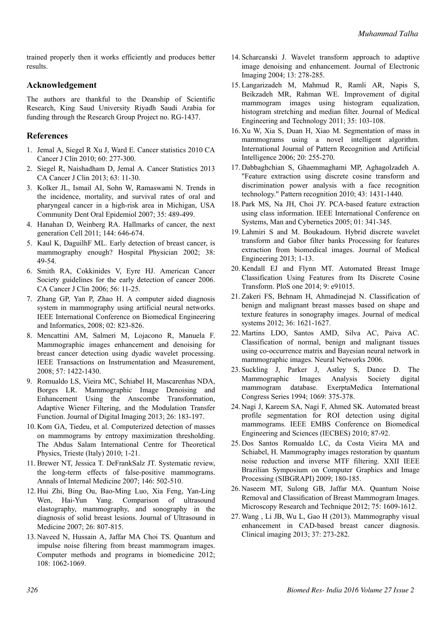trained properly then it works efficiently and produces better results.

## **Acknowledgement**

The authors are thankful to the Deanship of Scientific Research, King Saud University Riyadh Saudi Arabia for funding through the Research Group Project no. RG-1437.

## **References**

- 1. Jemal A, Siegel R Xu J, Ward E. Cancer statistics 2010 CA Cancer J Clin 2010; 60: 277-300.
- 2. Siegel R, Naishadham D, Jemal A. Cancer Statistics 2013 CA Cancer J Clin 2013; 63: 11-30.
- 3. Kolker JL, Ismail AI, Sohn W, Ramaswami N. Trends in the incidence, mortality, and survival rates of oral and pharyngeal cancer in a high-risk area in Michigan, USA Community Dent Oral Epidemiol 2007; 35: 489-499.
- 4. Hanahan D, Weinberg RA. Hallmarks of cancer, the next generation Cell 2011; 144: 646-674.
- 5. Kaul K, DaguilhF ML. Early detection of breast cancer, is mammography enough? Hospital Physician 2002; 38: 49-54.
- 6. Smith RA, Cokkinides V, Eyre HJ. American Cancer Society guidelines for the early detection of cancer 2006. CA Cancer J Clin 2006; 56: 11-25.
- 7. Zhang GP, Yan P, Zhao H. A computer aided diagnosis system in mammography using artificial neural networks. IEEE International Conference on Biomedical Engineering and Informatics, 2008; 02: 823-826.
- 8. Mencattini AM, Salmeri M, Lojacono R, Manuela F. Mammographic images enhancement and denoising for breast cancer detection using dyadic wavelet processing. IEEE Transactions on Instrumentation and Measurement, 2008; 57: 1422-1430.
- 9. Romualdo LS, Vieira MC, Schiabel H, Mascarenhas NDA, Borges LR. Mammographic Image Denoising and Enhancement Using the Anscombe Transformation, Adaptive Wiener Filtering, and the Modulation Transfer Function. Journal of Digital Imaging 2013; 26: 183-197.
- 10. Kom GA, Tiedeu, et al. Computerized detection of masses on mammograms by entropy maximization thresholding. The Abdus Salam International Centre for Theoretical Physics, Trieste (Italy) 2010; 1-21.
- 11. Brewer NT, Jessica T. DeFrankSalz JT. Systematic review, the long-term effects of false-positive mammograms. Annals of Internal Medicine 2007; 146: 502-510.
- 12. Hui Zhi, Bing Ou, Bao-Ming Luo, Xia Feng, Yan-Ling Wen, Hai-Yun Yang. Comparison of ultrasound elastography, mammography, and sonography in the diagnosis of solid breast lesions. Journal of Ultrasound in Medicine 2007; 26: 807-815.
- 13. Naveed N, Hussain A, Jaffar MA Choi TS. Quantum and impulse noise filtering from breast mammogram images. Computer methods and programs in biomedicine 2012; 108: 1062-1069.
- 14.Scharcanski J. Wavelet transform approach to adaptive image denoising and enhancement. Journal of Electronic Imaging 2004; 13: 278-285.
- 15. Langarizadeh M, Mahmud R, Ramli AR, Napis S, Beikzadeh MR, Rahman WE. Improvement of digital mammogram images using histogram equalization, histogram stretching and median filter. Journal of Medical Engineering and Technology 2011; 35: 103-108.
- 16. Xu W, Xia S, Duan H, Xiao M. Segmentation of mass in mammograms using a novel intelligent algorithm. International Journal of Pattern Recognition and Artificial Intelligence 2006; 20: 255-270.
- 17. Dabbaghchian S, Ghaemmaghami MP, Aghagolzadeh A. "Feature extraction using discrete cosine transform and discrimination power analysis with a face recognition technology." Pattern recognition 2010; 43: 1431-1440.
- 18.Park MS, Na JH, Choi JY. PCA-based feature extraction using class information. IEEE International Conference on Systems, Man and Cybernetics 2005; 01: 341-345.
- 19. Lahmiri S and M. Boukadoum. Hybrid discrete wavelet transform and Gabor filter banks Processing for features extraction from biomedical images. Journal of Medical Engineering 2013; 1-13.
- 20. Kendall EJ and Flynn MT. Automated Breast Image Classification Using Features from Its Discrete Cosine Transform. PloS one 2014; 9: e91015.
- 21. Zakeri FS, Behnam H, Ahmadinejad N. Classification of benign and malignant breast masses based on shape and texture features in sonography images. Journal of medical systems 2012; 36: 1621-1627.
- 22. Martins LDO, Santos AMD, Silva AC, Paiva AC. Classification of normal, benign and malignant tissues using co-occurrence matrix and Bayesian neural network in mammographic images. Neural Networks 2006.
- 23.Suckling J, Parker J, Astley S, Dance D. The Mammographic Images Analysis Society digital mammogram database. ExerptaMedica International Congress Series 1994; 1069: 375-378.
- 24. Nagi J, Kareem SA, Nagi F, Ahmed SK. Automated breast profile segmentation for ROI detection using digital mammograms. IEEE EMBS Conference on Biomedical Engineering and Sciences (IECBES) 2010; 87-92.
- 25. Dos Santos Romualdo LC, da Costa Vieira MA and Schiabel, H. Mammography images restoration by quantum noise reduction and inverse MTF filtering. XXII IEEE Brazilian Symposium on Computer Graphics and Image Processing (SIBGRAPI) 2009; 180-185.
- 26. Naseem MT, Sulong GB, Jaffar MA. Quantum Noise Removal and Classification of Breast Mammogram Images. Microscopy Research and Technique 2012; 75: 1609-1612.
- 27. Wang , Li JB, Wu L, Gao H (2013). Mammography visual enhancement in CAD-based breast cancer diagnosis. Clinical imaging 2013; 37: 273-282.